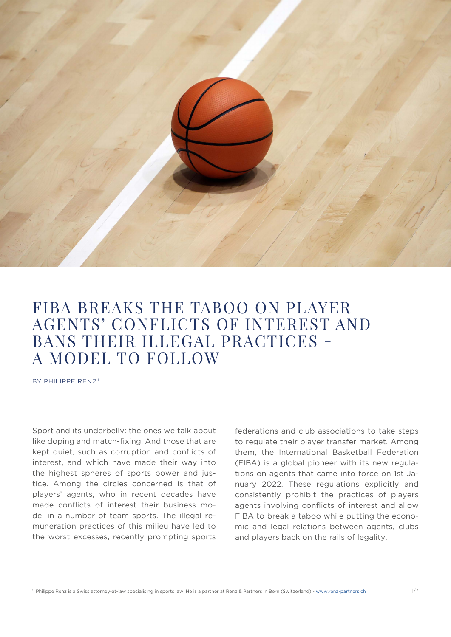

## FIBA BREAKS THE TABOO ON PLAYER AGENTS' CONFLICTS OF INTEREST AND BANS THEIR ILLEGAL PRACTICES - A MODEL TO FOLLOW

BY PHILIPPE RENZ<sup>1</sup>

Sport and its underbelly: the ones we talk about like doping and match-fixing. And those that are kept quiet, such as corruption and conflicts of interest, and which have made their way into the highest spheres of sports power and justice. Among the circles concerned is that of players' agents, who in recent decades have made conflicts of interest their business model in a number of team sports. The illegal remuneration practices of this milieu have led to the worst excesses, recently prompting sports federations and club associations to take steps to regulate their player transfer market. Among them, the International Basketball Federation (FIBA) is a global pioneer with its new regulations on agents that came into force on 1st January 2022. These regulations explicitly and consistently prohibit the practices of players agents involving conflicts of interest and allow FIBA to break a taboo while putting the economic and legal relations between agents, clubs and players back on the rails of legality.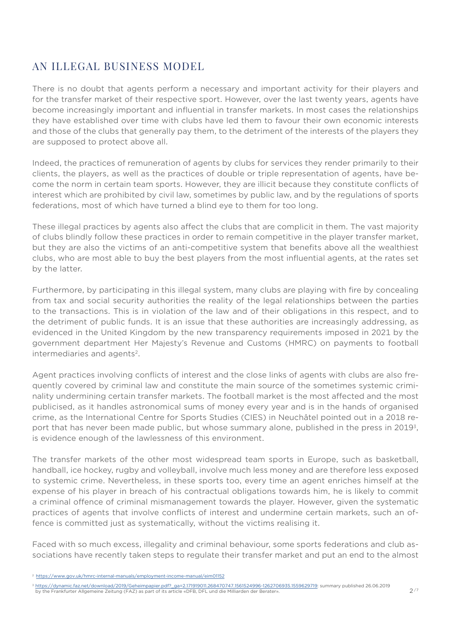### AN ILLEGAL BUSINESS MODEL

There is no doubt that agents perform a necessary and important activity for their players and for the transfer market of their respective sport. However, over the last twenty years, agents have become increasingly important and influential in transfer markets. In most cases the relationships they have established over time with clubs have led them to favour their own economic interests and those of the clubs that generally pay them, to the detriment of the interests of the players they are supposed to protect above all.

Indeed, the practices of remuneration of agents by clubs for services they render primarily to their clients, the players, as well as the practices of double or triple representation of agents, have become the norm in certain team sports. However, they are illicit because they constitute conflicts of interest which are prohibited by civil law, sometimes by public law, and by the regulations of sports federations, most of which have turned a blind eye to them for too long.

These illegal practices by agents also affect the clubs that are complicit in them. The vast majority of clubs blindly follow these practices in order to remain competitive in the player transfer market, but they are also the victims of an anti-competitive system that benefits above all the wealthiest clubs, who are most able to buy the best players from the most influential agents, at the rates set by the latter.

Furthermore, by participating in this illegal system, many clubs are playing with fire by concealing from tax and social security authorities the reality of the legal relationships between the parties to the transactions. This is in violation of the law and of their obligations in this respect, and to the detriment of public funds. It is an issue that these authorities are increasingly addressing, as evidenced in the United Kingdom by the new transparency requirements imposed in 2021 by the government department Her Majesty's Revenue and Customs (HMRC) on payments to football intermediaries and agents<sup>2</sup>.

Agent practices involving conflicts of interest and the close links of agents with clubs are also frequently covered by criminal law and constitute the main source of the sometimes systemic criminality undermining certain transfer markets. The football market is the most affected and the most publicised, as it handles astronomical sums of money every year and is in the hands of organised crime, as the International Centre for Sports Studies (CIES) in Neuchâtel pointed out in a 2018 report that has never been made public, but whose summary alone, published in the press in 2019<sup>3</sup>, is evidence enough of the lawlessness of this environment.

The transfer markets of the other most widespread team sports in Europe, such as basketball, handball, ice hockey, rugby and volleyball, involve much less money and are therefore less exposed to systemic crime. Nevertheless, in these sports too, every time an agent enriches himself at the expense of his player in breach of his contractual obligations towards him, he is likely to commit a criminal offence of criminal mismanagement towards the player. However, given the systematic practices of agents that involve conflicts of interest and undermine certain markets, such an offence is committed just as systematically, without the victims realising it.

Faced with so much excess, illegality and criminal behaviour, some sports federations and club associations have recently taken steps to regulate their transfer market and put an end to the almost

<sup>2</sup> [https://www.gov.uk/hmrc-internal-manuals/employment-income-manual/eim01152](  https://www.gov.uk/hmrc-internal-manuals/employment-income-manual/eim01152)

<sup>&</sup>lt;sup>3</sup> [https://dynamic.faz.net/download/2019/Geheimpapier.pdf?\\_ga=2.171919011.268470747.1561524996-1262706935.1559629719](https://dynamic.faz.net/download/2019/Geheimpapier.pdf?_ga=2.171919011.268470747.1561524996-12627069): summary published 26.06.2019 by the Frankfurter Allgemeine Zeitung (FAZ) as part of its article «DFB, DFL und die Milliarden der Berater».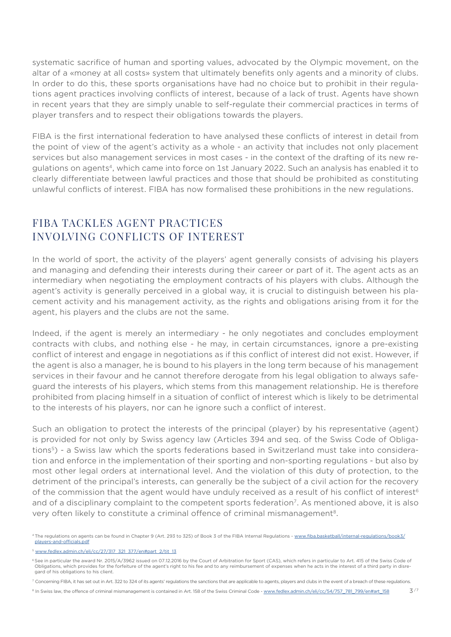systematic sacrifice of human and sporting values, advocated by the Olympic movement, on the altar of a «money at all costs» system that ultimately benefits only agents and a minority of clubs. In order to do this, these sports organisations have had no choice but to prohibit in their regulations agent practices involving conflicts of interest, because of a lack of trust. Agents have shown in recent years that they are simply unable to self-regulate their commercial practices in terms of player transfers and to respect their obligations towards the players.

FIBA is the first international federation to have analysed these conflicts of interest in detail from the point of view of the agent's activity as a whole - an activity that includes not only placement services but also management services in most cases - in the context of the drafting of its new regulations on agents4, which came into force on 1st January 2022. Such an analysis has enabled it to clearly differentiate between lawful practices and those that should be prohibited as constituting unlawful conflicts of interest. FIBA has now formalised these prohibitions in the new regulations.

#### FIBA TACKLES AGENT PRACTICES INVOLVING CONFLICTS OF INTEREST

In the world of sport, the activity of the players' agent generally consists of advising his players and managing and defending their interests during their career or part of it. The agent acts as an intermediary when negotiating the employment contracts of his players with clubs. Although the agent's activity is generally perceived in a global way, it is crucial to distinguish between his placement activity and his management activity, as the rights and obligations arising from it for the agent, his players and the clubs are not the same.

Indeed, if the agent is merely an intermediary - he only negotiates and concludes employment contracts with clubs, and nothing else - he may, in certain circumstances, ignore a pre-existing conflict of interest and engage in negotiations as if this conflict of interest did not exist. However, if the agent is also a manager, he is bound to his players in the long term because of his management services in their favour and he cannot therefore derogate from his legal obligation to always safeguard the interests of his players, which stems from this management relationship. He is therefore prohibited from placing himself in a situation of conflict of interest which is likely to be detrimental to the interests of his players, nor can he ignore such a conflict of interest.

Such an obligation to protect the interests of the principal (player) by his representative (agent) is provided for not only by Swiss agency law (Articles 394 and seq. of the Swiss Code of Obligations5) - a Swiss law which the sports federations based in Switzerland must take into consideration and enforce in the implementation of their sporting and non-sporting regulations - but also by most other legal orders at international level. And the violation of this duty of protection, to the detriment of the principal's interests, can generally be the subject of a civil action for the recovery of the commission that the agent would have unduly received as a result of his conflict of interest<sup>6</sup> and of a disciplinary complaint to the competent sports federation<sup>7</sup>. As mentioned above, it is also very often likely to constitute a criminal offence of criminal mismanagement8.

<sup>4</sup> The regulations on agents can be found in Chapter 9 (Art. 293 to 325) of Book 3 of the FIBA Internal Regulations - [www.fiba.basketball/internal-regulations/book3/](http://www.fiba.basketball/internal-regulations/book3/players-and-officials.pdf) [players-and-officials.pdf](http://www.fiba.basketball/internal-regulations/book3/players-and-officials.pdf)

<sup>5</sup> [www.fedlex.admin.ch/eli/cc/27/317\\_321\\_377/en#part\\_2/tit\\_13](http://www.fedlex.admin.ch/eli/cc/27/317_321_377/en#part_2/tit_13)

See in particular the award Nr. 2015/A/3962 issued on 07.12.2016 by the Court of Arbitration for Sport (CAS), which refers in particular to Art. 415 of the Swiss Code of Obligations, which provides for the forfeiture of the agent's right to his fee and to any reimbursement of expenses when he acts in the interest of a third party in disregard of his obligations to his client.

ncerning FIBA, it has set out in Art. 322 to 324 of its agents' regulations the sanctions that are applicable to agents, players and clubs in the event of a breach of these regulations.

<sup>&</sup>lt;sup>8</sup> In Swiss law, the offence of criminal mismanagement is contained in Art. 158 of the Swiss Criminal Code - [www.fedlex.admin.ch/eli/cc/54/757\\_781\\_799/en#art\\_158](http://www.fedlex.admin.ch/eli/cc/54/757_781_799/en#art_158)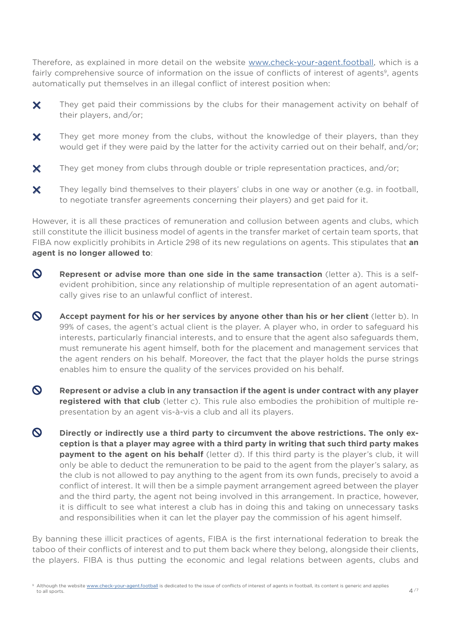Therefore, as explained in more detail on the website [www.check-your-agent.football](http://www.check-your-agent.football), which is a fairly comprehensive source of information on the issue of conflicts of interest of agents<sup>9</sup>, agents automatically put themselves in an illegal conflict of interest position when:

- **✕** They get paid their commissions by the clubs for their management activity on behalf of their players, and/or;
- **✕** They get more money from the clubs, without the knowledge of their players, than they would get if they were paid by the latter for the activity carried out on their behalf, and/or;
- X They get money from clubs through double or triple representation practices, and/or;
- **✕** They legally bind themselves to their players' clubs in one way or another (e.g. in football, to negotiate transfer agreements concerning their players) and get paid for it.

However, it is all these practices of remuneration and collusion between agents and clubs, which still constitute the illicit business model of agents in the transfer market of certain team sports, that FIBA now explicitly prohibits in Article 298 of its new regulations on agents. This stipulates that **an agent is no longer allowed to**:

- **Represent or advise more than one side in the same transaction** (letter a). This is a selfevident prohibition, since any relationship of multiple representation of an agent automatically gives rise to an unlawful conflict of interest.
- **Accept payment for his or her services by anyone other than his or her client** (letter b). In 99% of cases, the agent's actual client is the player. A player who, in order to safeguard his interests, particularly financial interests, and to ensure that the agent also safeguards them, must remunerate his agent himself, both for the placement and management services that the agent renders on his behalf. Moreover, the fact that the player holds the purse strings enables him to ensure the quality of the services provided on his behalf.
- $\boldsymbol{\mathsf{Q}}$ **Represent or advise a club in any transaction if the agent is under contract with any player registered with that club** (letter c). This rule also embodies the prohibition of multiple representation by an agent vis-à-vis a club and all its players.
- **Directly or indirectly use a third party to circumvent the above restrictions. The only exception is that a player may agree with a third party in writing that such third party makes payment to the agent on his behalf** (letter d). If this third party is the player's club, it will only be able to deduct the remuneration to be paid to the agent from the player's salary, as the club is not allowed to pay anything to the agent from its own funds, precisely to avoid a conflict of interest. It will then be a simple payment arrangement agreed between the player and the third party, the agent not being involved in this arrangement. In practice, however, it is difficult to see what interest a club has in doing this and taking on unnecessary tasks and responsibilities when it can let the player pay the commission of his agent himself.

By banning these illicit practices of agents, FIBA is the first international federation to break the taboo of their conflicts of interest and to put them back where they belong, alongside their clients, the players. FIBA is thus putting the economic and legal relations between agents, clubs and

<sup>&</sup>lt;sup>9</sup> Although the website [www.check-your-agent.football](http://www.check-your-agent.football) is dedicated to the issue of conflicts of interest of agents in football, its content is generic and applies to all sports.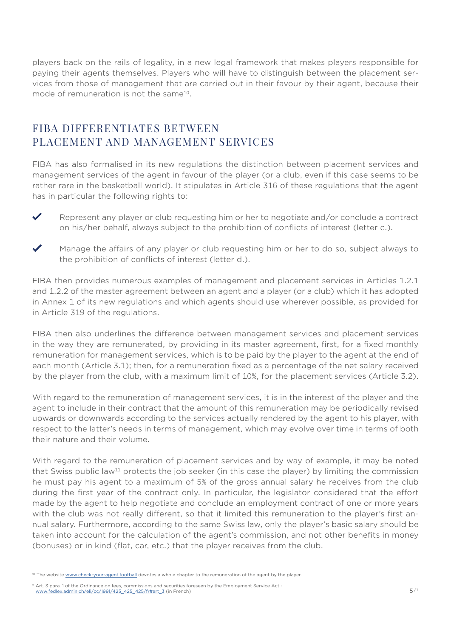players back on the rails of legality, in a new legal framework that makes players responsible for paying their agents themselves. Players who will have to distinguish between the placement services from those of management that are carried out in their favour by their agent, because their mode of remuneration is not the same<sup>10</sup>.

#### FIBA DIFFERENTIATES BETWEEN PLACEMENT AND MANAGEMENT SERVICES

FIBA has also formalised in its new regulations the distinction between placement services and management services of the agent in favour of the player (or a club, even if this case seems to be rather rare in the basketball world). It stipulates in Article 316 of these regulations that the agent has in particular the following rights to:

- **✓** Represent any player or club requesting him or her to negotiate and/or conclude a contract on his/her behalf, always subject to the prohibition of conflicts of interest (letter c.).
- Manage the affairs of any player or club requesting him or her to do so, subject always to the prohibition of conflicts of interest (letter d.).

FIBA then provides numerous examples of management and placement services in Articles 1.2.1 and 1.2.2 of the master agreement between an agent and a player (or a club) which it has adopted in Annex 1 of its new regulations and which agents should use wherever possible, as provided for in Article 319 of the regulations.

FIBA then also underlines the difference between management services and placement services in the way they are remunerated, by providing in its master agreement, first, for a fixed monthly remuneration for management services, which is to be paid by the player to the agent at the end of each month (Article 3.1); then, for a remuneration fixed as a percentage of the net salary received by the player from the club, with a maximum limit of 10%, for the placement services (Article 3.2).

With regard to the remuneration of management services, it is in the interest of the player and the agent to include in their contract that the amount of this remuneration may be periodically revised upwards or downwards according to the services actually rendered by the agent to his player, with respect to the latter's needs in terms of management, which may evolve over time in terms of both their nature and their volume.

With regard to the remuneration of placement services and by way of example, it may be noted that Swiss public law<sup>11</sup> protects the job seeker (in this case the player) by limiting the commission he must pay his agent to a maximum of 5% of the gross annual salary he receives from the club during the first year of the contract only. In particular, the legislator considered that the effort made by the agent to help negotiate and conclude an employment contract of one or more years with the club was not really different, so that it limited this remuneration to the player's first annual salary. Furthermore, according to the same Swiss law, only the player's basic salary should be taken into account for the calculation of the agent's commission, and not other benefits in money (bonuses) or in kind (flat, car, etc.) that the player receives from the club.

<sup>&</sup>lt;sup>10</sup> The website [www.check-your-agent.football](http://www.check-your-agent.football) devotes a whole chapter to the remuneration of the agent by the player.

<sup>&</sup>lt;sup>11</sup> Art. 3 para. 1 of the Ordinance on fees, commissions and securities foreseen by the Employment Service Act [www.fedlex.admin.ch/eli/cc/1991/425\\_425\\_425/fr#art\\_3](http://www.fedlex.admin.ch/eli/cc/1991/425_425_425/fr#art_3) (in French)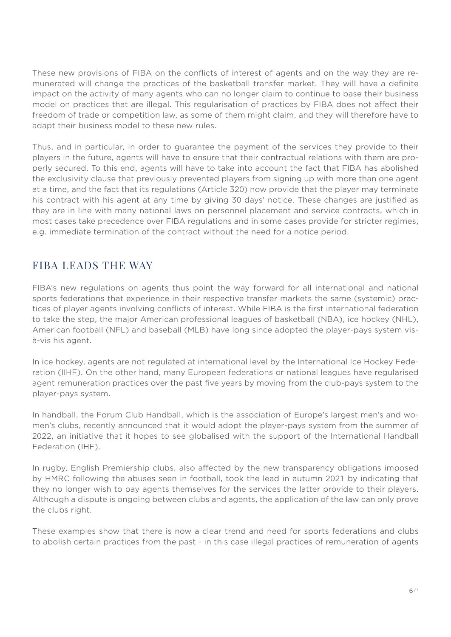These new provisions of FIBA on the conflicts of interest of agents and on the way they are remunerated will change the practices of the basketball transfer market. They will have a definite impact on the activity of many agents who can no longer claim to continue to base their business model on practices that are illegal. This regularisation of practices by FIBA does not affect their freedom of trade or competition law, as some of them might claim, and they will therefore have to adapt their business model to these new rules.

Thus, and in particular, in order to guarantee the payment of the services they provide to their players in the future, agents will have to ensure that their contractual relations with them are properly secured. To this end, agents will have to take into account the fact that FIBA has abolished the exclusivity clause that previously prevented players from signing up with more than one agent at a time, and the fact that its regulations (Article 320) now provide that the player may terminate his contract with his agent at any time by giving 30 days' notice. These changes are justified as they are in line with many national laws on personnel placement and service contracts, which in most cases take precedence over FIBA regulations and in some cases provide for stricter regimes, e.g. immediate termination of the contract without the need for a notice period.

#### FIBA LEADS THE WAY

FIBA's new regulations on agents thus point the way forward for all international and national sports federations that experience in their respective transfer markets the same (systemic) practices of player agents involving conflicts of interest. While FIBA is the first international federation to take the step, the major American professional leagues of basketball (NBA), ice hockey (NHL), American football (NFL) and baseball (MLB) have long since adopted the player-pays system visà-vis his agent.

In ice hockey, agents are not regulated at international level by the International Ice Hockey Federation (IIHF). On the other hand, many European federations or national leagues have regularised agent remuneration practices over the past five years by moving from the club-pays system to the player-pays system.

In handball, the Forum Club Handball, which is the association of Europe's largest men's and women's clubs, recently announced that it would adopt the player-pays system from the summer of 2022, an initiative that it hopes to see globalised with the support of the International Handball Federation (IHF).

In rugby, English Premiership clubs, also affected by the new transparency obligations imposed by HMRC following the abuses seen in football, took the lead in autumn 2021 by indicating that they no longer wish to pay agents themselves for the services the latter provide to their players. Although a dispute is ongoing between clubs and agents, the application of the law can only prove the clubs right.

These examples show that there is now a clear trend and need for sports federations and clubs to abolish certain practices from the past - in this case illegal practices of remuneration of agents